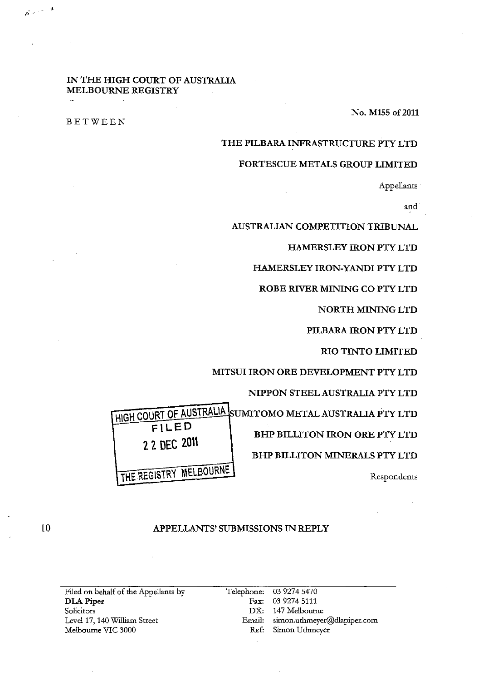# IN THE HIGH COURT OF AUSTRALIA MELBOURNE REGISTRY

BETWEEN

ه سالۍ کې

FILED

2 2 OEC 2011

## No. M155 of 2011

## THE PILBARA INFRASTRUCTURE PTY LTD

#### FORTESCUE METALS GROUP LIMITED

Appellants

and

AUSTRALIAN COMPETITION TRIBUNAL

HAMERSLEY IRON PTY LTD

HAMERSLEYIRON-YANDI PTY LTD

ROBE RIVER MINING CO PTY LTD

NORTH MINING LTD

PILBARA IRON PTY LTD

RIO TINTO LIMITED

MITSUI IRON ORE DEVELOPMENT PTY LTD

NIPPON STEEL AUSTRALIA PTY LTD

HIGH COURT OF AUSTRALIA SUMITOMO METAL AUSTRALIA PTY LTD

BHP BILLITON IRON ORE PTY LTD

BHP BILLITON MINERALS PTY LTD

THE REGISTRY MELBOURNE Respondents

10

## APPELLANTS' SUBMISSIONS IN REPLY

Filed on behalf of the Appellants by DLA Piper Solicitors Level 17, 140 William Street Melbourne VIC 3000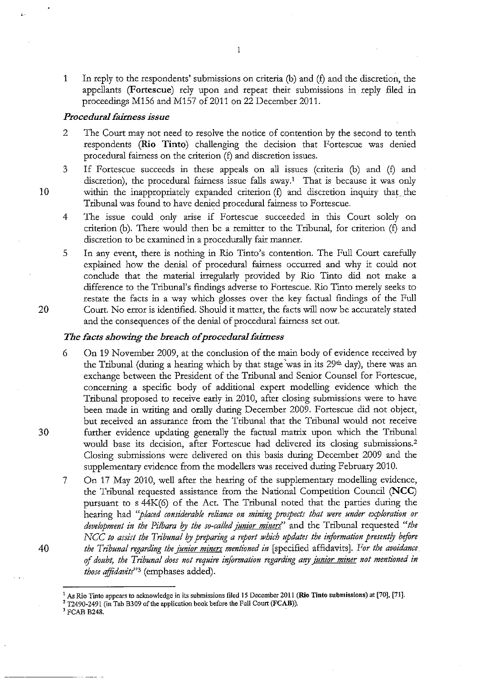**1** In reply to the respondents' submissions on criteria (b) and (f) and the discretion, the appellants **(Fortescue)** rely upon and repeat their submissions in reply filed in proceedings M156 and M157 of 2011 on 22 December 2011.

#### *Procedural fairness issue*

- 2 The Court may not need to resolve the notice of contention by the second to tenth respondents **(Rio Tinto)** challenging the decision that Fortescue was denied procedural fairness on the criterion (f) and discretion issues.
- 3 If Fortescue succeeds in these appeals on all issues (criteria (b) and (f) and discretion), the procedural fairness issue falls away.! That is because it was only within the inappropriately expanded criterion  $(f)$  and discretion inquiry that the Tribunal was found to have denied procedural fairness to Fortescue.
- 4 The issue could only arise if Fortescue succeeded in this Court solely on criterion (b). There would then be a remitter to the Tribunal, for criterion (f) and discretion to be examined in a procedurally fair manner.
- 5 In any event, there is nothing in *Rio* Tinto's contention. The Full Court carefully explained how the denial of procedural fairness occurred and why it could not conclude that the material irregularly provided by *Rio* Tinto did not make a difference to the Tribunal's findings adverse to Fortescue. *Rio* Tinto merely seeks to restate the facts in a way which glosses over the key factual findings of the Full 20 Court. No error is identified. Should it matter, the facts will now be accurately stated and the consequences of the denial of procedural fairness set out.

#### *The facts showing the breach of procedural fairness*

- 6 On 19 November 2009, at the conclusion of the main body of evidence received by the Tribunal (during a hearing which by that stage was in its  $29<sup>th</sup>$  day), there was an exchange between the President of the Tribunal and Senior Counsel for Fortescue, concerning a specific body of additional expert modelling evidence which the Tribunal proposed to receive early in 2010, after closing submissions were to have been made in writing and orally during December 2009. Fortescue did not object, but received an assurance from the Tribunal that the Tribunal would not receive further evidence updating generally the factual matrix upon which the Tribunal would base its decision, after Fortescue had delivered its closing submissions. 2 Closing submissions were delivered on this basis during December 2009 and the supplementary evidence from the modellers was received during February 2010.
- 7 On 17 May 2010, well after the hearing of the supplementary modelling evidence, the Tribunal requested assistance from the National Competition Council **(NCC)**  pursuant to s 44K(6) of the Act. The Tribunal noted that the parties during the hearing had *"placed considerable reliance on mining prospects that were under exploration or development in the Pilbara* by *the so-called junior miner!'* and the Tribunal requested *"the NCC to assist the Tribunal* by *preparing a report which updates the itifimnation presentjy before the Tribunal regarding the junior miners mentioned in* [specified affidavits]. *For the avoidance*  of *doubt, the Tribunal does not require information regarding any junior miner not mentioned in those afftdavit/'3* (emphases added).

10

30

40

<sup>&</sup>lt;sup>1</sup> As Rio Tinto appears to acknowledge in its submissions filed 15 December 2011 (Rio Tinto submissions) at [70], [71].

<sup>2</sup> T2490-2491 (in Tab B309 of the application book before the Full Court **(FCAB)).** 

<sup>3</sup> FCAB B248.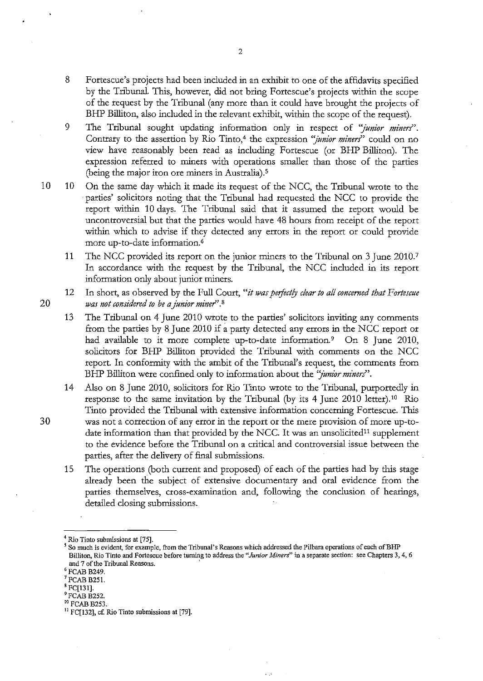- 8 Fortescue's projects had been included in an exhibit to one of the affidavits specified by the Tribunal. This, however, did not bring Fortescue's projects within the scope of the request by the Tribunal (any more than it could have brought the projects of BHP Billiton, also included in the relevant exhibit, within the scope of the request).
- 9 The Tribunal sought updating information only in respect of "junior miners". Contrary to the assertion by Rio Tinto,<sup>4</sup> the expression "junior miners" could on no view have reasonably been read as including Fortescue (or BHP Billiton). The expression referred to miners with operations smaller than those of the parties (being the major iron ore miners in Australia).<sup>5</sup>
- 10 10 On the same day which it made its request of the NCC, the Tribunal wrote to the parties' solicitors noting that the Tribunal had requested the NCC to provide the report within 10 days. The Tribunal said that it assumed the report would be uncontroversial but that the parties would have 48 hours from receipt of the report within which to advise if they detected any errors in the report or could provide more up-to-date information.6
	- 11 The NCC provided its report on the junior miners to the Tribunal on 3 June 2010.7 In accordance with the request by the Tribunal, the NCC included in its report information only about junior miners.
- 12 In short, as observed by the Full Court, *"it was perfect!J clear to all concerned that Fortescue*  20 *was not considered to be a junior miner'.* s
	- 13 The Tribunal on 4 June 2010 wrote to the parties' solicitors inviting any comments from the parties by 8 June 2010 if a party detected any errors in the NCC report or had available to it more complete up-to-date information.<sup>9</sup> On 8 June 2010, solicitors for BHP Billiton provided the Tribunal with comments on the NCC report. In conformity with the ambit of the Tribunal's request, the comments from BHP Billiton were confined only to information about the *''junior miners'*'.
- 14 Also on 8 June 2010, solicitors for Rio Tinto wrote to the Tribunal, purportedly in response to the same invitation by the Tribunal (by its 4 June 2010 letter).<sup>10</sup> Rio Tinto provided the Tribunal with extensive information concerning Fortescue. This 30 was not a correction of any error in the report or the mere provision of more up-todate information than that provided by the NCC. It was an unsolicited<sup>11</sup> supplement to the evidence before the Tribunal on a critical and controversial issue between the parties, after the delivery of final submissions.
	- 15 The operations (both current and proposed) of each of the parties had by this stage already been the subject of extensive documentary and oral evidence from the parties themselves, cross-examination and, following the conclusion of hearings, detailed closing submissions.

2

<sup>&</sup>lt;sup>4</sup> Rio Tinto submissions at [75].<br><sup>5</sup> So much is evident, for example, from the Tribunal's Reasons which addressed the Pilbara operations of each of BHP **Billiton, Rio Tinto and Fortescue before turning to address the** *"Junior Miners"* **in a separate section: see Chapters 3, 4, 6**  and 7 of the Tribunal Reasons.<br>
<sup>6</sup> FCAB B249.<br>
<sup>7</sup> FCAB B251.<br>
<sup>8</sup> FC[131].

<sup>&</sup>lt;sup>9</sup> FCAB B252.<br><sup>10</sup> FCAB B253.

 $11$  FC[132], cf. Rio Tinto submissions at [79].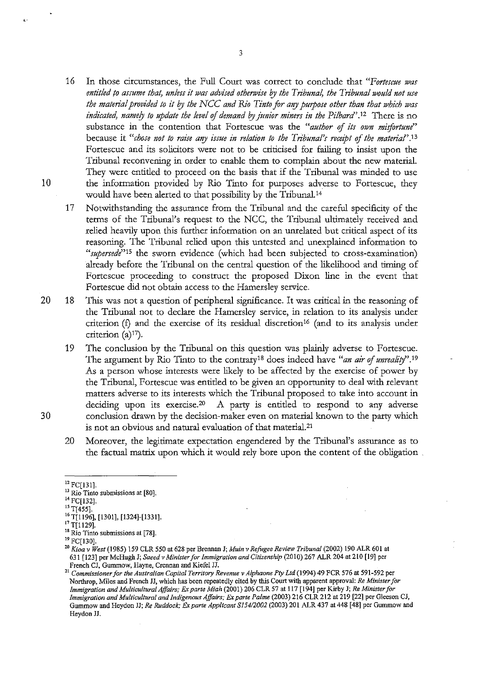- 16 In those circumstances, the Full Coutt was correct to conclude that *"Fortescue was*  entitled to assume that, unless it was advised otherwise by the Tribunal, the Tribunal would not use *the material provided to it by the NCC and Rio Tinto for any purpose other than that which was indicated, namely to update the level of demand by <i>junior miners in the Pilbard*''.<sup>12</sup> There is n0 substance in the contention that Fortescue was the *"author* of *its own misfortune"*  because it "*chose not to raise any issue in relation to the Tribunal's receipt of the material*".<sup>13</sup> Fortescue and its solicitors were not to be criticised for failing to insist upon the Tribunal reconvening in order to enable them to complain about the new material. They were entitled to proceed on the basis that if the Tribunal was minded to use 10 the information provided by Rio Tinto for purposes adverse to Fortescue, they would have been alerted to that possibility by the Tribunal.14
	- 17 Notwithstanding the assutance from the Tribunal and the careful specificity of the terms of the Tribunal's request to the NCC, the Tribunal ultimately received and relied heavily upon this further information on an unrelated but critical aspect of its reasoning. The Tribunal relied upon this untested and unexplained information to "supersede"<sup>15</sup> the sworn evidence (which had been subjected to cross-examination) already before the Tribunal on the central question of the likelihood and timing of Fortescue proceeding to construct the proposed Dixon line in the event that Fortescue did not obtain access to the Hamersley service.
- 20 18 This was not a question of peripheral significance. It was critical in the reasoning of the Tribunal not to declare the Hamersley service, in relation to its analysis under criterion  $(f)$  and the exercise of its residual discretion<sup>16</sup> (and to its analysis under criterion  $(a)^{17}$ ).
- 19 The conclusion by the Tribunal on this question was plainly adverse to Fortescue. The argument by Rio Tinto to the contrary18 does indeed have *"an air* of *unrealitj'.19*  As a person whose interests were likely to be affected by the exercise of power by the Tribunal, Fortescue was entitled to be given an opportunity to deal with relevant matters adverse to its interests which the Tribunal proposed to take into account in deciding upon its exercise.<sup>20</sup> A party is entitled to respond to any adverse 30 conclusion drawn by the decision-maker even on material known to the party which is not an obvious and natural evaluation of that material.<sup>21</sup>
	- 20 Moreover, the legitimate expectation engendered by the Tribunal's assutance as to the factual matrix upon which it would rely bore upon the content of the obligation .

<sup>&</sup>lt;sup>12</sup> FC[131].<br><sup>13</sup> Rio Tinto submissions at [80].<br><sup>14</sup> FC[132].

<sup>&</sup>lt;sup>15</sup> T[455].<br><sup>16</sup> T[1196], [1301], [1324]-[1331].<br><sup>17</sup> T[1129].<br><sup>18</sup> Rio Tinto submissions at [78].<br><sup>19</sup> FC[130].

<sup>°</sup> *Kioa v West* (1985) 159 CLR 550 at 628 per Brennan J; *Muin v Refogee Review Tribunal* (2002) 190 ALR 601 at 631 [123] per McHugh J; *Saeed v Minister for Immigration and Citizenship* (2010) 267 ALR 204 at 210 [19] per **French CJ, Gummow, Hayne, Crennan and Kiefel JJ.** 

<sup>21</sup>*Commissioner for the Australian Capital Territory Revenue v Alphaone Pty Ltd* **(1994) 49 FCR 576 at 591-592 per Northrop, Miles and French JJ, which has been repeatedly cited by this Court with apparent approval:** *Re Minister for Immigration and Multicultural Affairs; Ex parte Miah* (2001) 206 CLR 57 at 117 [194] per Kirby J; *Re Minister for Immigration and Multicultural and Indigenous Affairs;* **Ex** *parte Palme* **(2003) 216 CLR 212 at 219 [22] per Gleeson CJ,**  Gummow and Heydon JJ; *Re Ruddock; Ex parte Applfcant Sl5412002* (2003) 201 ALR 437 at 448 [48] per Gummow and Heydon JJ.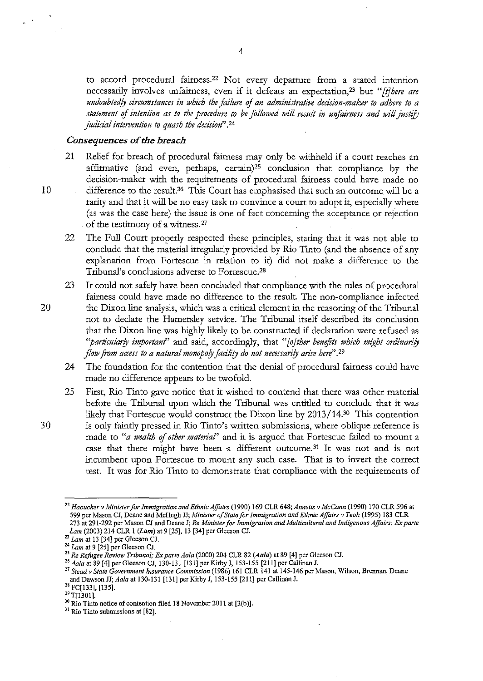to accord procedural fairness. 22 Not every departure from a stated intention necessarily involves unfairness, even if it defeats an expectation,23 but *"[fjhere are undoubtedly circumstances in which the failure of an administrative decision-maker to adhere to a statement of intention as to the procedure to be followed will result in unfairness and will justijj judicial intervention to quash the decision".24* 

## *Consequences of the breach*

- 21 Relief for breach of procedural fairness may only be withheld if a court reaches an affirmative (and even, perhaps, certain)25 conclusion that compliance by the decision-maker with the requirements of procedural fairness could have made no 10 difference to the result.<sup>26</sup> This Court has emphasised that such an outcome will be a rarity and that it will be no easy task to convince a court to adopt it, especially where (as was the case here) the issue is one of fact concerning the acceptance or rejection of the testimony of a witness. 27
	- 22 The Full Court properly respected these principles, stating that it was not able to conclude that the material irregularly provided by Rio Tinto (and the absence of any explanation from Fortescue in relation to it) did not make a difference to the Tribunal's conclusions adverse to Fortescue.28
- 23 It could not safely have been concluded that compliance with the rules of procedural fairness could have made no difference to the result The non-compliance infected 20 the Dixon line analysis, which was a critical element in the reasoning of the Tribunal not to declare the Hamersley service. The Tribunal itself described its conclusion that the Dixon line was highly likely to be constructed if declaration were refused as *''particularly important'* and said, accordingly, that *"[o}ther benefits which might ordinarify flow from access to a natural monopofyfaciliry do not necessarify arise here".29* 
	- 24 The foundation for the contention that the denial of procedural fairness could have made no difference appears to be twofold.
- 25 First, Rio Tinto gave notice that it wished to contend that there was other material before the Tribunal upon which the Tribunal was entitled to conclude that it was likely that Fortescue would construct the Dixon line by 2013/14.30 This contention 30 is only faintly pressed in Rio Tinto's written submissions, where oblique reference is made to *"a wealth of other material'* and it is argued that Fortescue failed to mount a case that there might have been a different outcome.<sup>31</sup> It was not and is not incumbent upon Fortescue to mount any such case. That is to invert the correct test. It was for Rio Tinto to demonstrate that compliance with the requirements of

4

<sup>22</sup>*Haoucher v Minister for Immigration and Ethnic Affairs* **(1990) 169 CLR** *648;Annetts* **v** *McCann* **(1990) 170 CLR 596 at 599 per Mason CJ, Deane and McHugh JJ;** *Minister a/State for Immigration and Ethnic Affairs v Teoh* **(1995) 183 CLR**  273 at 291-292 per Mason CJ and Deane J; *Re Minister for Immigration and Multicultural and Indigenous Affairs; Ex parte Lam* (2003) 214 CLR 1 (*Lam*) at 9 [25], 13 [34] per Gleeson CJ.<br><sup>23</sup> *Lam* at 13 [34] per Gleeson CJ

<sup>&</sup>lt;sup>24</sup> Lam at 9 [25] per Gleeson CJ.<br><sup>25</sup> Re Refugee Review Tribunal; Ex parte Aala (2000) 204 CLR 82 (Aala) at 89 [4] per Gleeson CJ.<br><sup>25</sup> Aala at 89 [4] per Gleeson CJ, 130-131 [131] per Kirby J, 153-155 [211] per Callina and Dawson JJ; *Aala* at 130-131 [131] per Kirby J, 153-155 [211] per Callinan J.<br><sup>28</sup> FC[133], [135].<br><sup>29</sup> T[1301].<br><sup>30</sup> Rio Tinto notice of contention filed 18 November 2011 at [3(b)].<br><sup>31</sup> Rio Tinto submissions at [82]